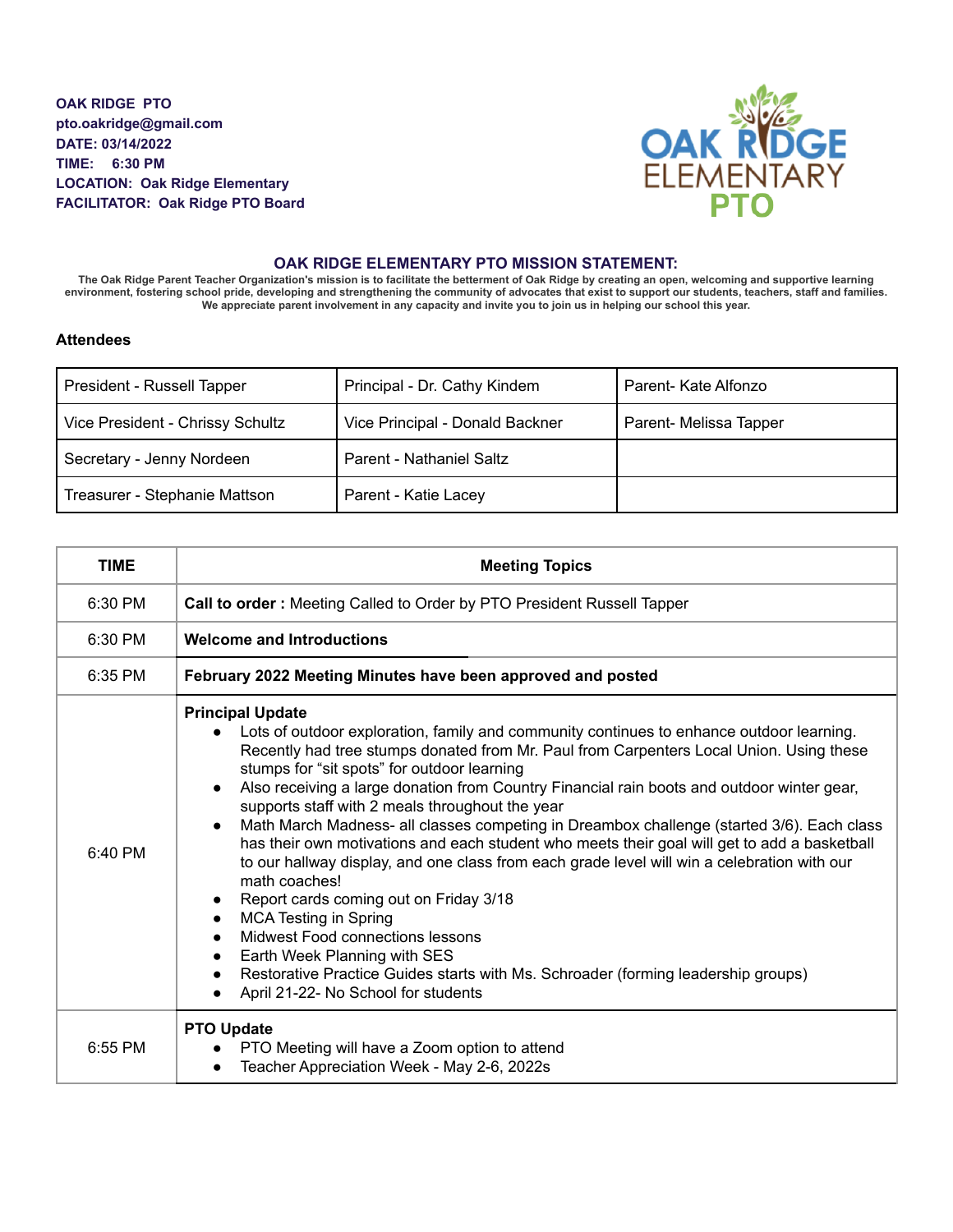**OAK RIDGE PTO pto.oakridge@gmail.com DATE: 03/14/2022 TIME: 6:30 PM LOCATION: Oak Ridge Elementary FACILITATOR: Oak Ridge PTO Board**



## **OAK RIDGE ELEMENTARY PTO MISSION STATEMENT:**

The Oak Ridge Parent Teacher Organization's mission is to facilitate the betterment of Oak Ridge by creating an open, welcoming and supportive learning environment, fostering school pride, developing and strengthening the community of advocates that exist to support our students, teachers, staff and families. We appreciate parent involvement in any capacity and invite you to join us in helping our school this year.

## **Attendees**

| President - Russell Tapper       | Principal - Dr. Cathy Kindem    | Parent- Kate Alfonzo   |
|----------------------------------|---------------------------------|------------------------|
| Vice President - Chrissy Schultz | Vice Principal - Donald Backner | Parent- Melissa Tapper |
| Secretary - Jenny Nordeen        | Parent - Nathaniel Saltz        |                        |
| Treasurer - Stephanie Mattson    | Parent - Katie Lacey            |                        |

| <b>TIME</b> | <b>Meeting Topics</b>                                                                                                                                                                                                                                                                                                                                                                                                                                                                                                                                                                                                                                                                                                                                                                                                                                                                                                                                                                                                                                                                            |
|-------------|--------------------------------------------------------------------------------------------------------------------------------------------------------------------------------------------------------------------------------------------------------------------------------------------------------------------------------------------------------------------------------------------------------------------------------------------------------------------------------------------------------------------------------------------------------------------------------------------------------------------------------------------------------------------------------------------------------------------------------------------------------------------------------------------------------------------------------------------------------------------------------------------------------------------------------------------------------------------------------------------------------------------------------------------------------------------------------------------------|
| 6:30 PM     | Call to order : Meeting Called to Order by PTO President Russell Tapper                                                                                                                                                                                                                                                                                                                                                                                                                                                                                                                                                                                                                                                                                                                                                                                                                                                                                                                                                                                                                          |
| 6:30 PM     | <b>Welcome and Introductions</b>                                                                                                                                                                                                                                                                                                                                                                                                                                                                                                                                                                                                                                                                                                                                                                                                                                                                                                                                                                                                                                                                 |
| 6:35 PM     | February 2022 Meeting Minutes have been approved and posted                                                                                                                                                                                                                                                                                                                                                                                                                                                                                                                                                                                                                                                                                                                                                                                                                                                                                                                                                                                                                                      |
| 6:40 PM     | <b>Principal Update</b><br>Lots of outdoor exploration, family and community continues to enhance outdoor learning.<br>$\bullet$<br>Recently had tree stumps donated from Mr. Paul from Carpenters Local Union. Using these<br>stumps for "sit spots" for outdoor learning<br>Also receiving a large donation from Country Financial rain boots and outdoor winter gear,<br>$\bullet$<br>supports staff with 2 meals throughout the year<br>Math March Madness- all classes competing in Dreambox challenge (started 3/6). Each class<br>$\bullet$<br>has their own motivations and each student who meets their goal will get to add a basketball<br>to our hallway display, and one class from each grade level will win a celebration with our<br>math coaches!<br>Report cards coming out on Friday 3/18<br>$\bullet$<br><b>MCA Testing in Spring</b><br>$\bullet$<br>Midwest Food connections lessons<br>Earth Week Planning with SES<br>$\bullet$<br>Restorative Practice Guides starts with Ms. Schroader (forming leadership groups)<br>$\bullet$<br>April 21-22- No School for students |
| 6:55 PM     | <b>PTO Update</b><br>PTO Meeting will have a Zoom option to attend<br>$\bullet$<br>Teacher Appreciation Week - May 2-6, 2022s<br>$\bullet$                                                                                                                                                                                                                                                                                                                                                                                                                                                                                                                                                                                                                                                                                                                                                                                                                                                                                                                                                       |